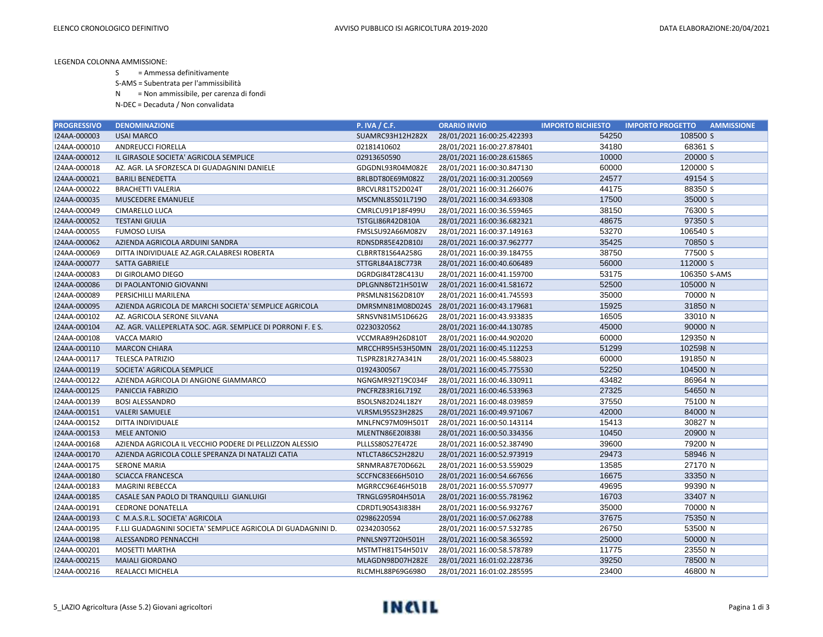LEGENDA COLONNA AMMISSIONE:

S = Ammessa definitivamente

S-AMS = Subentrata per l'ammissibilità

N = Non ammissibile, per carenza di fondi

N-DEC = Decaduta / Non convalidata

| <b>PROGRESSIVO</b> | <b>DENOMINAZIONE</b>                                         | P. IVA / C.F.    | <b>ORARIO INVIO</b>                         | <b>IMPORTO RICHIESTO</b> | <b>IMPORTO PROGETTO</b><br><b>AMMISSIONE</b> |
|--------------------|--------------------------------------------------------------|------------------|---------------------------------------------|--------------------------|----------------------------------------------|
| I24AA-000003       | <b>USAI MARCO</b>                                            | SUAMRC93H12H282X | 28/01/2021 16:00:25.422393                  | 54250                    | 108500 S                                     |
| I24AA-000010       | ANDREUCCI FIORELLA                                           | 02181410602      | 28/01/2021 16:00:27.878401                  | 34180                    | 68361 S                                      |
| I24AA-000012       | IL GIRASOLE SOCIETA' AGRICOLA SEMPLICE                       | 02913650590      | 28/01/2021 16:00:28.615865                  | 10000                    | 20000 S                                      |
| I24AA-000018       | AZ. AGR. LA SFORZESCA DI GUADAGNINI DANIELE                  | GDGDNL93R04M082E | 28/01/2021 16:00:30.847130                  | 60000                    | 120000 S                                     |
| I24AA-000021       | <b>BARILI BENEDETTA</b>                                      | BRLBDT80E69M082Z | 28/01/2021 16:00:31.200569                  | 24577                    | 49154 S                                      |
| I24AA-000022       | <b>BRACHETTI VALERIA</b>                                     | BRCVLR81T52D024T | 28/01/2021 16:00:31.266076                  | 44175                    | 88350 S                                      |
| I24AA-000035       | MUSCEDERE EMANUELE                                           | MSCMNL85S01L719O | 28/01/2021 16:00:34.693308                  | 17500                    | 35000 S                                      |
| I24AA-000049       | CIMARELLO LUCA                                               | CMRLCU91P18F499U | 28/01/2021 16:00:36.559465                  | 38150                    | 76300 S                                      |
| I24AA-000052       | <b>TESTANI GIULIA</b>                                        | TSTGLI86R42D810A | 28/01/2021 16:00:36.682321                  | 48675                    | 97350 S                                      |
| I24AA-000055       | <b>FUMOSO LUISA</b>                                          | FMSLSU92A66M082V | 28/01/2021 16:00:37.149163                  | 53270                    | 106540 S                                     |
| I24AA-000062       | AZIENDA AGRICOLA ARDUINI SANDRA                              | RDNSDR85E42D810J | 28/01/2021 16:00:37.962777                  | 35425                    | 70850 S                                      |
| I24AA-000069       | DITTA INDIVIDUALE AZ.AGR.CALABRESI ROBERTA                   | CLBRRT81S64A258G | 28/01/2021 16:00:39.184755                  | 38750                    | 77500 S                                      |
| I24AA-000077       | SATTA GABRIELE                                               | STTGRL84A18C773R | 28/01/2021 16:00:40.606489                  | 56000                    | 112000 S                                     |
| I24AA-000083       | DI GIROLAMO DIEGO                                            | DGRDGI84T28C413U | 28/01/2021 16:00:41.159700                  | 53175                    | 106350 S-AMS                                 |
| I24AA-000086       | DI PAOLANTONIO GIOVANNI                                      | DPLGNN86T21H501W | 28/01/2021 16:00:41.581672                  | 52500                    | 105000 N                                     |
| I24AA-000089       | PERSICHILLI MARILENA                                         | PRSMLN81S62D810Y | 28/01/2021 16:00:41.745593                  | 35000                    | 70000 N                                      |
| I24AA-000095       | AZIENDA AGRICOLA DE MARCHI SOCIETA' SEMPLICE AGRICOLA        |                  | DMRSMN81M08D024S 28/01/2021 16:00:43.179681 | 15925                    | 31850 N                                      |
| I24AA-000102       | AZ. AGRICOLA SERONE SILVANA                                  | SRNSVN81M51D662G | 28/01/2021 16:00:43.933835                  | 16505                    | 33010 N                                      |
| I24AA-000104       | AZ. AGR. VALLEPERLATA SOC. AGR. SEMPLICE DI PORRONI F. E S.  | 02230320562      | 28/01/2021 16:00:44.130785                  | 45000                    | 90000 N                                      |
| I24AA-000108       | <b>VACCA MARIO</b>                                           | VCCMRA89H26D810T | 28/01/2021 16:00:44.902020                  | 60000                    | 129350 N                                     |
| I24AA-000110       | <b>MARCON CHIARA</b>                                         | MRCCHR95H53H50MN | 28/01/2021 16:00:45.112253                  | 51299                    | 102598 N                                     |
| I24AA-000117       | <b>TELESCA PATRIZIO</b>                                      | TLSPRZ81R27A341N | 28/01/2021 16:00:45.588023                  | 60000                    | 191850 N                                     |
| I24AA-000119       | SOCIETA' AGRICOLA SEMPLICE                                   | 01924300567      | 28/01/2021 16:00:45.775530                  | 52250                    | 104500 N                                     |
| I24AA-000122       | AZIENDA AGRICOLA DI ANGIONE GIAMMARCO                        | NGNGMR92T19C034F | 28/01/2021 16:00:46.330911                  | 43482                    | 86964 N                                      |
| I24AA-000125       | PANICCIA FABRIZIO                                            | PNCFRZ83R16L719Z | 28/01/2021 16:00:46.533963                  | 27325                    | 54650 N                                      |
| I24AA-000139       | <b>BOSI ALESSANDRO</b>                                       | BSOLSN82D24L182Y | 28/01/2021 16:00:48.039859                  | 37550                    | 75100 N                                      |
| I24AA-000151       | <b>VALERI SAMUELE</b>                                        | VLRSML95S23H282S | 28/01/2021 16:00:49.971067                  | 42000                    | 84000 N                                      |
| I24AA-000152       | DITTA INDIVIDUALE                                            | MNLFNC97M09H501T | 28/01/2021 16:00:50.143114                  | 15413                    | 30827 N                                      |
| I24AA-000153       | <b>MELE ANTONIO</b>                                          | MLENTN86E20I838I | 28/01/2021 16:00:50.334356                  | 10450                    | 20900 N                                      |
| I24AA-000168       | AZIENDA AGRICOLA IL VECCHIO PODERE DI PELLIZZON ALESSIO      | PLLLSS80S27E472E | 28/01/2021 16:00:52.387490                  | 39600                    | 79200 N                                      |
| I24AA-000170       | AZIENDA AGRICOLA COLLE SPERANZA DI NATALIZI CATIA            | NTLCTA86C52H282U | 28/01/2021 16:00:52.973919                  | 29473                    | 58946 N                                      |
| I24AA-000175       | <b>SERONE MARIA</b>                                          | SRNMRA87E70D662L | 28/01/2021 16:00:53.559029                  | 13585                    | 27170 N                                      |
| I24AA-000180       | <b>SCIACCA FRANCESCA</b>                                     | SCCFNC83E66H501O | 28/01/2021 16:00:54.667656                  | 16675                    | 33350 N                                      |
| I24AA-000183       | <b>MAGRINI REBECCA</b>                                       | MGRRCC96E46H501B | 28/01/2021 16:00:55.570977                  | 49695                    | 99390 N                                      |
| I24AA-000185       | CASALE SAN PAOLO DI TRANQUILLI GIANLUIGI                     | TRNGLG95R04H501A | 28/01/2021 16:00:55.781962                  | 16703                    | 33407 N                                      |
| I24AA-000191       | <b>CEDRONE DONATELLA</b>                                     | CDRDTL90S43I838H | 28/01/2021 16:00:56.932767                  | 35000                    | 70000 N                                      |
| I24AA-000193       | C M.A.S.R.L. SOCIETA' AGRICOLA                               | 02986220594      | 28/01/2021 16:00:57.062788                  | 37675                    | 75350 N                                      |
| I24AA-000195       | F.LLI GUADAGNINI SOCIETA' SEMPLICE AGRICOLA DI GUADAGNINI D. | 02342030562      | 28/01/2021 16:00:57.532785                  | 26750                    | 53500 N                                      |
| I24AA-000198       | ALESSANDRO PENNACCHI                                         | PNNLSN97T20H501H | 28/01/2021 16:00:58.365592                  | 25000                    | 50000 N                                      |
| I24AA-000201       | MOSETTI MARTHA                                               | MSTMTH81T54H501V | 28/01/2021 16:00:58.578789                  | 11775                    | 23550 N                                      |
| I24AA-000215       | <b>MAIALI GIORDANO</b>                                       | MLAGDN98D07H282E | 28/01/2021 16:01:02.228736                  | 39250                    | 78500 N                                      |
| I24AA-000216       | REALACCI MICHELA                                             | RLCMHL88P69G698O | 28/01/2021 16:01:02.285595                  | 23400                    | 46800 N                                      |

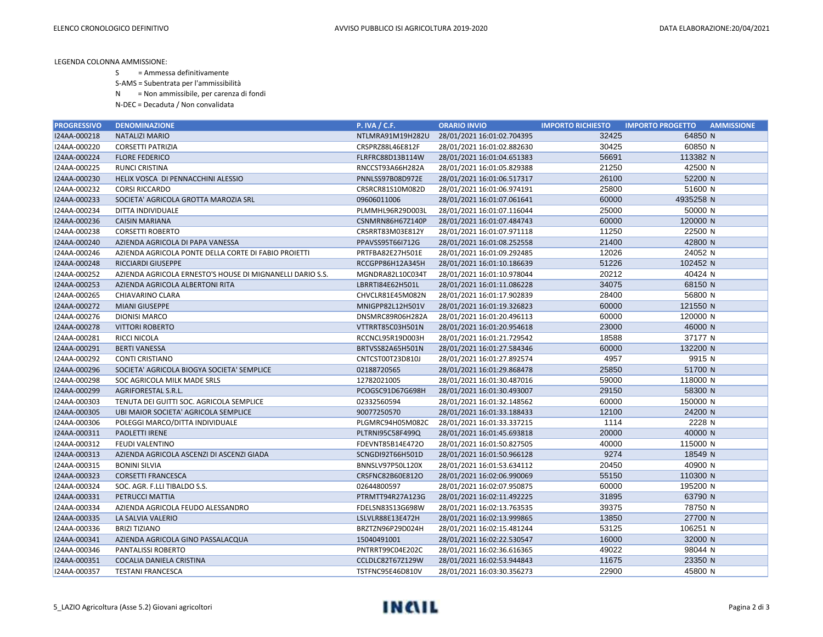LEGENDA COLONNA AMMISSIONE:

S = Ammessa definitivamente

S-AMS = Subentrata per l'ammissibilità

N = Non ammissibile, per carenza di fondi

N-DEC = Decaduta / Non convalidata

| <b>PROGRESSIVO</b> | <b>DENOMINAZIONE</b>                                      | <b>P. IVA / C.F.</b> | <b>ORARIO INVIO</b>        | <b>IMPORTO RICHIESTO</b> | <b>IMPORTO PROGETTO</b><br><b>AMMISSIONE</b> |
|--------------------|-----------------------------------------------------------|----------------------|----------------------------|--------------------------|----------------------------------------------|
| I24AA-000218       | <b>NATALIZI MARIO</b>                                     | NTLMRA91M19H282U     | 28/01/2021 16:01:02.704395 | 32425                    | 64850 N                                      |
| I24AA-000220       | <b>CORSETTI PATRIZIA</b>                                  | CRSPRZ88L46E812F     | 28/01/2021 16:01:02.882630 | 30425                    | 60850 N                                      |
| I24AA-000224       | <b>FLORE FEDERICO</b>                                     | FLRFRC88D13B114W     | 28/01/2021 16:01:04.651383 | 56691                    | 113382 N                                     |
| I24AA-000225       | <b>RUNCI CRISTINA</b>                                     | RNCCST93A66H282A     | 28/01/2021 16:01:05.829388 | 21250                    | 42500 N                                      |
| I24AA-000230       | HELIX VOSCA DI PENNACCHINI ALESSIO                        | PNNLSS97B08D972E     | 28/01/2021 16:01:06.517317 | 26100                    | 52200 N                                      |
| I24AA-000232       | <b>CORSI RICCARDO</b>                                     | CRSRCR81S10M082D     | 28/01/2021 16:01:06.974191 | 25800                    | 51600 N                                      |
| I24AA-000233       | SOCIETA' AGRICOLA GROTTA MAROZIA SRL                      | 09606011006          | 28/01/2021 16:01:07.061641 | 60000                    | 4935258 N                                    |
| I24AA-000234       | DITTA INDIVIDUALE                                         | PLMMHL96R29D003L     | 28/01/2021 16:01:07.116044 | 25000                    | 50000 N                                      |
| I24AA-000236       | <b>CAISIN MARIANA</b>                                     | CSNMRN86H67Z140P     | 28/01/2021 16:01:07.484743 | 60000                    | 120000 N                                     |
| I24AA-000238       | <b>CORSETTI ROBERTO</b>                                   | CRSRRT83M03E812Y     | 28/01/2021 16:01:07.971118 | 11250                    | 22500 N                                      |
| I24AA-000240       | AZIENDA AGRICOLA DI PAPA VANESSA                          | PPAVSS95T66I712G     | 28/01/2021 16:01:08.252558 | 21400                    | 42800 N                                      |
| I24AA-000246       | AZIENDA AGRICOLA PONTE DELLA CORTE DI FABIO PROIETTI      | PRTFBA82E27H501E     | 28/01/2021 16:01:09.292485 | 12026                    | 24052 N                                      |
| I24AA-000248       | <b>RICCIARDI GIUSEPPE</b>                                 | RCCGPP86H12A345H     | 28/01/2021 16:01:10.186639 | 51226                    | 102452 N                                     |
| I24AA-000252       | AZIENDA AGRICOLA ERNESTO'S HOUSE DI MIGNANELLI DARIO S.S. | MGNDRA82L10C034T     | 28/01/2021 16:01:10.978044 | 20212                    | 40424 N                                      |
| I24AA-000253       | AZIENDA AGRICOLA ALBERTONI RITA                           | LBRRTI84E62H501L     | 28/01/2021 16:01:11.086228 | 34075                    | 68150 N                                      |
| I24AA-000265       | CHIAVARINO CLARA                                          | CHVCLR81E45M082N     | 28/01/2021 16:01:17.902839 | 28400                    | 56800 N                                      |
| I24AA-000272       | <b>MIANI GIUSEPPE</b>                                     | MNIGPP82L12H501V     | 28/01/2021 16:01:19.326823 | 60000                    | 121550 N                                     |
| I24AA-000276       | <b>DIONISI MARCO</b>                                      | DNSMRC89R06H282A     | 28/01/2021 16:01:20.496113 | 60000                    | 120000 N                                     |
| I24AA-000278       | <b>VITTORI ROBERTO</b>                                    | VTTRRT85C03H501N     | 28/01/2021 16:01:20.954618 | 23000                    | 46000 N                                      |
| I24AA-000281       | RICCI NICOLA                                              | RCCNCL95R19D003H     | 28/01/2021 16:01:21.729542 | 18588                    | 37177 N                                      |
| I24AA-000291       | <b>BERTI VANESSA</b>                                      | BRTVSS82A65H501N     | 28/01/2021 16:01:27.584346 | 60000                    | 132200 N                                     |
| I24AA-000292       | <b>CONTI CRISTIANO</b>                                    | CNTCST00T23D810J     | 28/01/2021 16:01:27.892574 | 4957                     | 9915 N                                       |
| I24AA-000296       | SOCIETA' AGRICOLA BIOGYA SOCIETA' SEMPLICE                | 02188720565          | 28/01/2021 16:01:29.868478 | 25850                    | 51700 N                                      |
| I24AA-000298       | SOC AGRICOLA MILK MADE SRLS                               | 12782021005          | 28/01/2021 16:01:30.487016 | 59000                    | 118000 N                                     |
| I24AA-000299       | <b>AGRIFORESTAL S.R.L.</b>                                | PCOGSC91D67G698H     | 28/01/2021 16:01:30.493007 | 29150                    | 58300 N                                      |
| I24AA-000303       | TENUTA DEI GUITTI SOC. AGRICOLA SEMPLICE                  | 02332560594          | 28/01/2021 16:01:32.148562 | 60000                    | 150000 N                                     |
| I24AA-000305       | UBI MAIOR SOCIETA' AGRICOLA SEMPLICE                      | 90077250570          | 28/01/2021 16:01:33.188433 | 12100                    | 24200 N                                      |
| I24AA-000306       | POLEGGI MARCO/DITTA INDIVIDUALE                           | PLGMRC94H05M082C     | 28/01/2021 16:01:33.337215 | 1114                     | 2228 N                                       |
| I24AA-000311       | PAOLETTI IRENE                                            | PLTRNI95C58F499Q     | 28/01/2021 16:01:45.693818 | 20000                    | 40000 N                                      |
| I24AA-000312       | FEUDI VALENTINO                                           | FDEVNT85B14E472O     | 28/01/2021 16:01:50.827505 | 40000                    | 115000 N                                     |
| I24AA-000313       | AZIENDA AGRICOLA ASCENZI DI ASCENZI GIADA                 | SCNGDI92T66H501D     | 28/01/2021 16:01:50.966128 | 9274                     | 18549 N                                      |
| I24AA-000315       | <b>BONINI SILVIA</b>                                      | BNNSLV97P50L120X     | 28/01/2021 16:01:53.634112 | 20450                    | 40900 N                                      |
| I24AA-000323       | <b>CORSETTI FRANCESCA</b>                                 | CRSFNC82B60E812O     | 28/01/2021 16:02:06.990069 | 55150                    | 110300 N                                     |
| I24AA-000324       | SOC. AGR. F.LLI TIBALDO S.S.                              | 02644800597          | 28/01/2021 16:02:07.950875 | 60000                    | 195200 N                                     |
| I24AA-000331       | PETRUCCI MATTIA                                           | PTRMTT94R27A123G     | 28/01/2021 16:02:11.492225 | 31895                    | 63790 N                                      |
| I24AA-000334       | AZIENDA AGRICOLA FEUDO ALESSANDRO                         | FDELSN83S13G698W     | 28/01/2021 16:02:13.763535 | 39375                    | 78750 N                                      |
| I24AA-000335       | LA SALVIA VALERIO                                         | LSLVLR88E13E472H     | 28/01/2021 16:02:13.999865 | 13850                    | 27700 N                                      |
| I24AA-000336       | <b>BRIZI TIZIANO</b>                                      | BRZTZN96P29D024H     | 28/01/2021 16:02:15.481244 | 53125                    | 106251 N                                     |
| I24AA-000341       | AZIENDA AGRICOLA GINO PASSALACQUA                         | 15040491001          | 28/01/2021 16:02:22.530547 | 16000                    | 32000 N                                      |
| I24AA-000346       | <b>PANTALISSI ROBERTO</b>                                 | PNTRRT99C04E202C     | 28/01/2021 16:02:36.616365 | 49022                    | 98044 N                                      |
| I24AA-000351       | COCALIA DANIELA CRISTINA                                  | CCLDLC82T67Z129W     | 28/01/2021 16:02:53.944843 | 11675                    | 23350 N                                      |
| I24AA-000357       | <b>TESTANI FRANCESCA</b>                                  | TSTFNC95E46D810V     | 28/01/2021 16:03:30.356273 | 22900                    | 45800 N                                      |